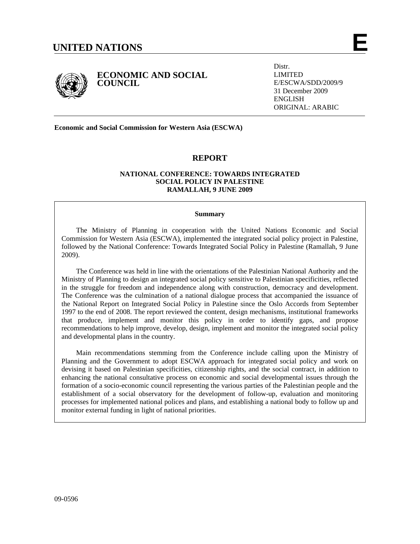

## **ECONOMIC AND SOCIAL COUNCIL**

Distr. LIMITED E/ESCWA/SDD/2009/9 31 December 2009 ENGLISH ORIGINAL: ARABIC

**Economic and Social Commission for Western Asia (ESCWA)** 

# **REPORT**

## **NATIONAL CONFERENCE: TOWARDS INTEGRATED SOCIAL POLICY IN PALESTINE RAMALLAH, 9 JUNE 2009**

### **Summary**

 The Ministry of Planning in cooperation with the United Nations Economic and Social Commission for Western Asia (ESCWA), implemented the integrated social policy project in Palestine, followed by the National Conference: Towards Integrated Social Policy in Palestine (Ramallah, 9 June 2009).

 The Conference was held in line with the orientations of the Palestinian National Authority and the Ministry of Planning to design an integrated social policy sensitive to Palestinian specificities, reflected in the struggle for freedom and independence along with construction, democracy and development. The Conference was the culmination of a national dialogue process that accompanied the issuance of the National Report on Integrated Social Policy in Palestine since the Oslo Accords from September 1997 to the end of 2008. The report reviewed the content, design mechanisms, institutional frameworks that produce, implement and monitor this policy in order to identify gaps, and propose recommendations to help improve, develop, design, implement and monitor the integrated social policy and developmental plans in the country.

 Main recommendations stemming from the Conference include calling upon the Ministry of Planning and the Government to adopt ESCWA approach for integrated social policy and work on devising it based on Palestinian specificities, citizenship rights, and the social contract, in addition to enhancing the national consultative process on economic and social developmental issues through the formation of a socio-economic council representing the various parties of the Palestinian people and the establishment of a social observatory for the development of follow-up, evaluation and monitoring processes for implemented national polices and plans, and establishing a national body to follow up and monitor external funding in light of national priorities.